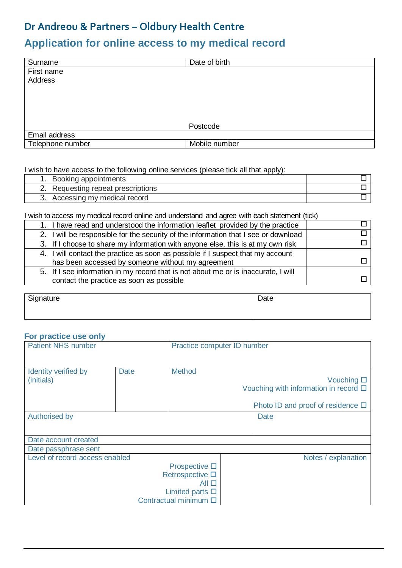### **Dr Andreou & Partners – Oldbury Health Centre**

# **Application for online access to my medical record**

| Surname          | Date of birth |  |  |
|------------------|---------------|--|--|
| First name       |               |  |  |
| Address          |               |  |  |
|                  |               |  |  |
|                  |               |  |  |
|                  |               |  |  |
|                  |               |  |  |
|                  | Postcode      |  |  |
| Email address    |               |  |  |
| Telephone number | Mobile number |  |  |

#### I wish to have access to the following online services (please tick all that apply):

| 1. Booking appointments            |  |
|------------------------------------|--|
| 2. Requesting repeat prescriptions |  |
| 3. Accessing my medical record     |  |

I wish to access my medical record online and understand and agree with each statement (tick)

| 1. I have read and understood the information leaflet provided by the practice                                                       |  |
|--------------------------------------------------------------------------------------------------------------------------------------|--|
| 2. I will be responsible for the security of the information that I see or download                                                  |  |
| 3. If I choose to share my information with anyone else, this is at my own risk                                                      |  |
| 4. I will contact the practice as soon as possible if I suspect that my account<br>has been accessed by someone without my agreement |  |
| 5. If I see information in my record that is not about me or is inaccurate, I will<br>contact the practice as soon as possible       |  |

| Signature | Date |
|-----------|------|
|           |      |

#### **For practice use only**

| <b>Patient NHS number</b>          |      |                               | Practice computer ID number |                                                                     |
|------------------------------------|------|-------------------------------|-----------------------------|---------------------------------------------------------------------|
| Identity verified by<br>(initials) | Date | <b>Method</b>                 |                             | Vouching $\square$<br>Vouching with information in record $\square$ |
|                                    |      |                               |                             | Photo ID and proof of residence $\square$                           |
| <b>Authorised by</b><br>Date       |      |                               |                             |                                                                     |
|                                    |      |                               |                             |                                                                     |
| Date account created               |      |                               |                             |                                                                     |
| Date passphrase sent               |      |                               |                             |                                                                     |
| Level of record access enabled     |      |                               |                             | Notes / explanation                                                 |
|                                    |      | Prospective $\square$         |                             |                                                                     |
| Retrospective □                    |      |                               |                             |                                                                     |
|                                    |      | $All \Box$                    |                             |                                                                     |
|                                    |      | Limited parts $\square$       |                             |                                                                     |
|                                    |      | Contractual minimum $\square$ |                             |                                                                     |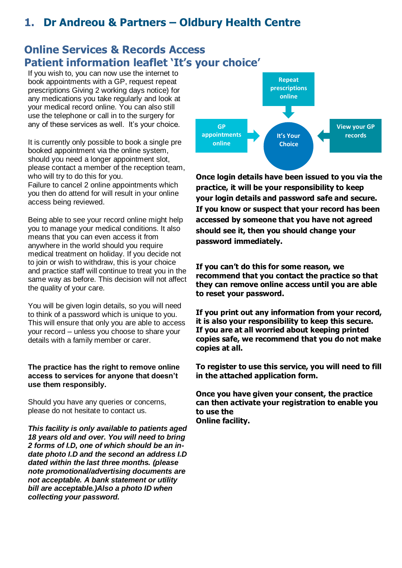# **1. Dr Andreou & Partners – Oldbury Health Centre**

### **Online Services & Records Access Patient information leaflet 'It's your choice'**

If you wish to, you can now use the internet to book appointments with a GP, request repeat prescriptions Giving 2 working days notice) for any medications you take regularly and look at your medical record online. You can also still use the telephone or call in to the surgery for any of these services as well. It's your choice.

It is currently only possible to book a single pre booked appointment via the online system, should you need a longer appointment slot, please contact a member of the reception team, who will try to do this for you.

Failure to cancel 2 online appointments which you then do attend for will result in your online access being reviewed.

Being able to see your record online might help you to manage your medical conditions. It also means that you can even access it from anywhere in the world should you require medical treatment on holiday. If you decide not to join or wish to withdraw, this is your choice and practice staff will continue to treat you in the same way as before. This decision will not affect the quality of your care.

You will be given login details, so you will need to think of a password which is unique to you. This will ensure that only you are able to access your record – unless you choose to share your details with a family member or carer.

#### **The practice has the right to remove online access to services for anyone that doesn't use them responsibly.**

Should you have any queries or concerns, please do not hesitate to contact us.

*This facility is only available to patients aged 18 years old and over. You will need to bring 2 forms of I.D, one of which should be an indate photo I.D and the second an address I.D dated within the last three months. (please note promotional/advertising documents are not acceptable. A bank statement or utility bill are acceptable.)Also a photo ID when collecting your password.* 



**Once login details have been issued to you via the practice, it will be your responsibility to keep your login details and password safe and secure. If you know or suspect that your record has been accessed by someone that you have not agreed should see it, then you should change your password immediately.**

**If you can't do this for some reason, we recommend that you contact the practice so that they can remove online access until you are able to reset your password.**

**If you print out any information from your record, it is also your responsibility to keep this secure. If you are at all worried about keeping printed copies safe, we recommend that you do not make copies at all.** 

**To register to use this service, you will need to fill in the attached application form.**

**Once you have given your consent, the practice can then activate your registration to enable you to use the** 

**Online facility.**